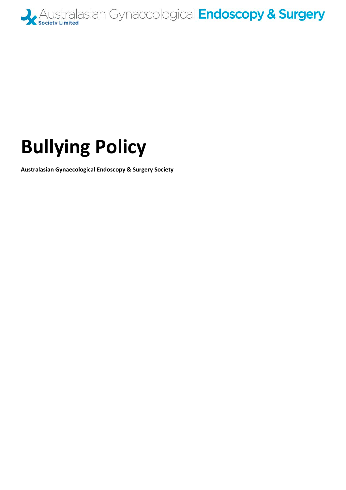

## **Bullying Policy**

**Australasian Gynaecological Endoscopy & Surgery Society**